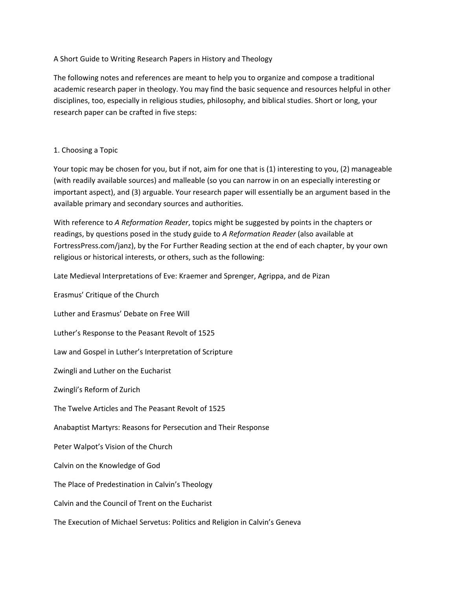# A Short Guide to Writing Research Papers in History and Theology

The following notes and references are meant to help you to organize and compose a traditional academic research paper in theology. You may find the basic sequence and resources helpful in other disciplines, too, especially in religious studies, philosophy, and biblical studies. Short or long, your research paper can be crafted in five steps:

# 1. Choosing a Topic

Your topic may be chosen for you, but if not, aim for one that is (1) interesting to you, (2) manageable (with readily available sources) and malleable (so you can narrow in on an especially interesting or important aspect), and (3) arguable. Your research paper will essentially be an argument based in the available primary and secondary sources and authorities.

With reference to *A Reformation Reader*, topics might be suggested by points in the chapters or readings, by questions posed in the study guide to *A Reformation Reader* (also available at FortressPress.com/janz), by the For Further Reading section at the end of each chapter, by your own religious or historical interests, or others, such as the following:

Late Medieval Interpretations of Eve: Kraemer and Sprenger, Agrippa, and de Pizan

Erasmus' Critique of the Church Luther and Erasmus' Debate on Free Will Luther's Response to the Peasant Revolt of 1525 Law and Gospel in Luther's Interpretation of Scripture Zwingli and Luther on the Eucharist Zwingli's Reform of Zurich The Twelve Articles and The Peasant Revolt of 1525 Anabaptist Martyrs: Reasons for Persecution and Their Response Peter Walpot's Vision of the Church Calvin on the Knowledge of God The Place of Predestination in Calvin's Theology Calvin and the Council of Trent on the Eucharist The Execution of Michael Servetus: Politics and Religion in Calvin's Geneva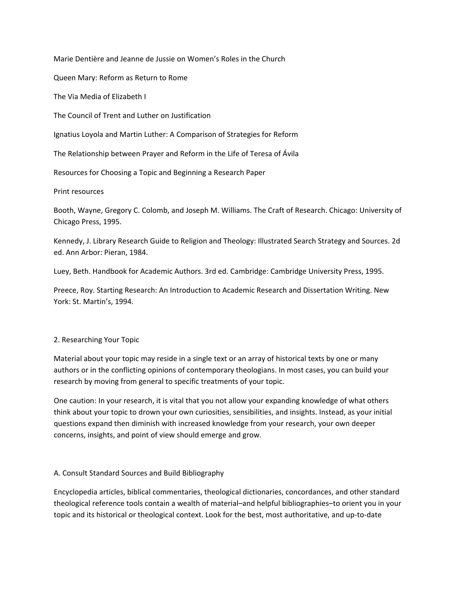Marie Dentière and Jeanne de Jussie on Women's Roles in the Church

Queen Mary: Reform as Return to Rome

The Via Media of Elizabeth I

The Council of Trent and Luther on Justification

Ignatius Loyola and Martin Luther: A Comparison of Strategies for Reform

The Relationship between Prayer and Reform in the Life of Teresa of Ávila

Resources for Choosing a Topic and Beginning a Research Paper

Print resources

Booth, Wayne, Gregory C. Colomb, and Joseph M. Williams. The Craft of Research. Chicago: University of Chicago Press, 1995.

Kennedy, J. Library Research Guide to Religion and Theology: Illustrated Search Strategy and Sources. 2d ed. Ann Arbor: Pieran, 1984.

Luey, Beth. Handbook for Academic Authors. 3rd ed. Cambridge: Cambridge University Press, 1995.

Preece, Roy. Starting Research: An Introduction to Academic Research and Dissertation Writing. New York: St. Martin's, 1994.

# 2. Researching Your Topic

Material about your topic may reside in a single text or an array of historical texts by one or many authors or in the conflicting opinions of contemporary theologians. In most cases, you can build your research by moving from general to specific treatments of your topic.

One caution: In your research, it is vital that you not allow your expanding knowledge of what others think about your topic to drown your own curiosities, sensibilities, and insights. Instead, as your initial questions expand then diminish with increased knowledge from your research, your own deeper concerns, insights, and point of view should emerge and grow.

#### A. Consult Standard Sources and Build Bibliography

Encyclopedia articles, biblical commentaries, theological dictionaries, concordances, and other standard theological reference tools contain a wealth of material–and helpful bibliographies–to orient you in your topic and its historical or theological context. Look for the best, most authoritative, and up‐to‐date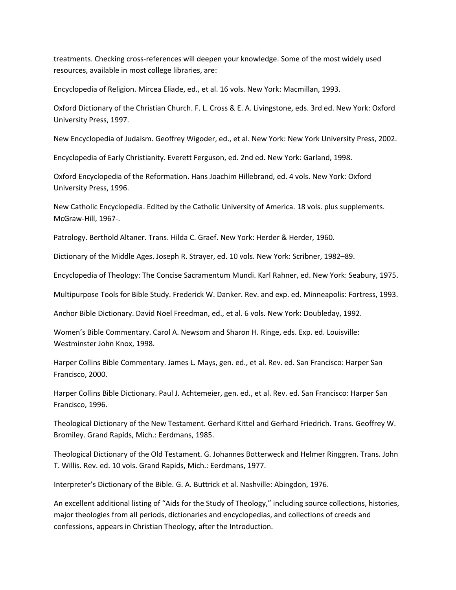treatments. Checking cross‐references will deepen your knowledge. Some of the most widely used resources, available in most college libraries, are:

Encyclopedia of Religion. Mircea Eliade, ed., et al. 16 vols. New York: Macmillan, 1993.

Oxford Dictionary of the Christian Church. F. L. Cross & E. A. Livingstone, eds. 3rd ed. New York: Oxford University Press, 1997.

New Encyclopedia of Judaism. Geoffrey Wigoder, ed., et al. New York: New York University Press, 2002.

Encyclopedia of Early Christianity. Everett Ferguson, ed. 2nd ed. New York: Garland, 1998.

Oxford Encyclopedia of the Reformation. Hans Joachim Hillebrand, ed. 4 vols. New York: Oxford University Press, 1996.

New Catholic Encyclopedia. Edited by the Catholic University of America. 18 vols. plus supplements. McGraw‐Hill, 1967‐.

Patrology. Berthold Altaner. Trans. Hilda C. Graef. New York: Herder & Herder, 1960.

Dictionary of the Middle Ages. Joseph R. Strayer, ed. 10 vols. New York: Scribner, 1982–89.

Encyclopedia of Theology: The Concise Sacramentum Mundi. Karl Rahner, ed. New York: Seabury, 1975.

Multipurpose Tools for Bible Study. Frederick W. Danker. Rev. and exp. ed. Minneapolis: Fortress, 1993.

Anchor Bible Dictionary. David Noel Freedman, ed., et al. 6 vols. New York: Doubleday, 1992.

Women's Bible Commentary. Carol A. Newsom and Sharon H. Ringe, eds. Exp. ed. Louisville: Westminster John Knox, 1998.

Harper Collins Bible Commentary. James L. Mays, gen. ed., et al. Rev. ed. San Francisco: Harper San Francisco, 2000.

Harper Collins Bible Dictionary. Paul J. Achtemeier, gen. ed., et al. Rev. ed. San Francisco: Harper San Francisco, 1996.

Theological Dictionary of the New Testament. Gerhard Kittel and Gerhard Friedrich. Trans. Geoffrey W. Bromiley. Grand Rapids, Mich.: Eerdmans, 1985.

Theological Dictionary of the Old Testament. G. Johannes Botterweck and Helmer Ringgren. Trans. John T. Willis. Rev. ed. 10 vols. Grand Rapids, Mich.: Eerdmans, 1977.

Interpreter's Dictionary of the Bible. G. A. Buttrick et al. Nashville: Abingdon, 1976.

An excellent additional listing of "Aids for the Study of Theology," including source collections, histories, major theologies from all periods, dictionaries and encyclopedias, and collections of creeds and confessions, appears in Christian Theology, after the Introduction.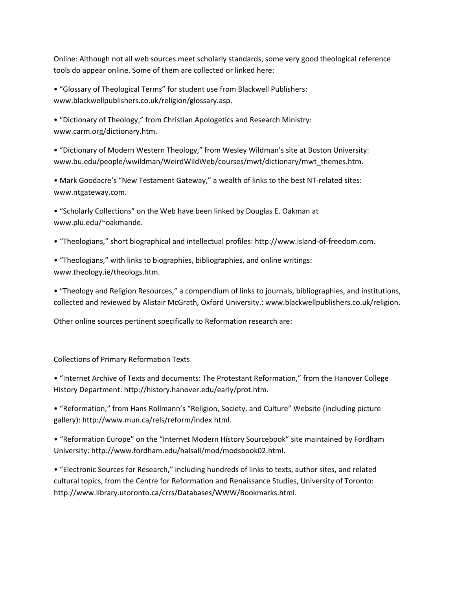Online: Although not all web sources meet scholarly standards, some very good theological reference tools do appear online. Some of them are collected or linked here:

• "Glossary of Theological Terms" for student use from Blackwell Publishers: www.blackwellpublishers.co.uk/religion/glossary.asp.

• "Dictionary of Theology," from Christian Apologetics and Research Ministry: www.carm.org/dictionary.htm.

• "Dictionary of Modern Western Theology," from Wesley Wildman's site at Boston University: www.bu.edu/people/wwildman/WeirdWildWeb/courses/mwt/dictionary/mwt\_themes.htm.

• Mark Goodacre's "New Testament Gateway," a wealth of links to the best NT‐related sites: www.ntgateway.com.

• "Scholarly Collections" on the Web have been linked by Douglas E. Oakman at www.plu.edu/~oakmande.

• "Theologians," short biographical and intellectual profiles: http://www.island‐of‐freedom.com.

• "Theologians," with links to biographies, bibliographies, and online writings: www.theology.ie/theologs.htm.

• "Theology and Religion Resources," a compendium of links to journals, bibliographies, and institutions, collected and reviewed by Alistair McGrath, Oxford University.: www.blackwellpublishers.co.uk/religion.

Other online sources pertinent specifically to Reformation research are:

Collections of Primary Reformation Texts

• "Internet Archive of Texts and documents: The Protestant Reformation," from the Hanover College History Department: http://history.hanover.edu/early/prot.htm.

• "Reformation," from Hans Rollmann's "Religion, Society, and Culture" Website (including picture gallery): http://www.mun.ca/rels/reform/index.html.

• "Reformation Europe" on the "Internet Modern History Sourcebook" site maintained by Fordham University: http://www.fordham.edu/halsall/mod/modsbook02.html.

• "Electronic Sources for Research," including hundreds of links to texts, author sites, and related cultural topics, from the Centre for Reformation and Renaissance Studies, University of Toronto: http://www.library.utoronto.ca/crrs/Databases/WWW/Bookmarks.html.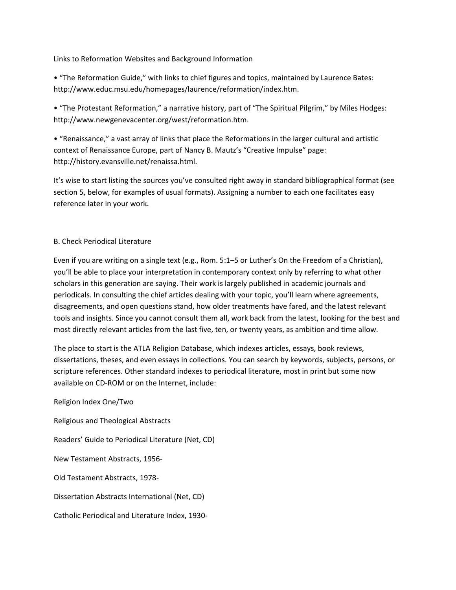Links to Reformation Websites and Background Information

• "The Reformation Guide," with links to chief figures and topics, maintained by Laurence Bates: http://www.educ.msu.edu/homepages/laurence/reformation/index.htm.

• "The Protestant Reformation," a narrative history, part of "The Spiritual Pilgrim," by Miles Hodges: http://www.newgenevacenter.org/west/reformation.htm.

• "Renaissance," a vast array of links that place the Reformations in the larger cultural and artistic context of Renaissance Europe, part of Nancy B. Mautz's "Creative Impulse" page: http://history.evansville.net/renaissa.html.

It's wise to start listing the sources you've consulted right away in standard bibliographical format (see section 5, below, for examples of usual formats). Assigning a number to each one facilitates easy reference later in your work.

# B. Check Periodical Literature

Even if you are writing on a single text (e.g., Rom. 5:1–5 or Luther's On the Freedom of a Christian), you'll be able to place your interpretation in contemporary context only by referring to what other scholars in this generation are saying. Their work is largely published in academic journals and periodicals. In consulting the chief articles dealing with your topic, you'll learn where agreements, disagreements, and open questions stand, how older treatments have fared, and the latest relevant tools and insights. Since you cannot consult them all, work back from the latest, looking for the best and most directly relevant articles from the last five, ten, or twenty years, as ambition and time allow.

The place to start is the ATLA Religion Database, which indexes articles, essays, book reviews, dissertations, theses, and even essays in collections. You can search by keywords, subjects, persons, or scripture references. Other standard indexes to periodical literature, most in print but some now available on CD‐ROM or on the Internet, include:

Religion Index One/Two Religious and Theological Abstracts Readers' Guide to Periodical Literature (Net, CD) New Testament Abstracts, 1956‐ Old Testament Abstracts, 1978‐ Dissertation Abstracts International (Net, CD) Catholic Periodical and Literature Index, 1930‐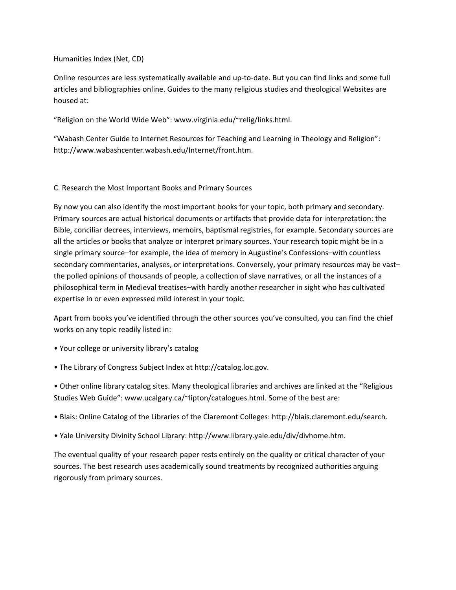# Humanities Index (Net, CD)

Online resources are less systematically available and up‐to‐date. But you can find links and some full articles and bibliographies online. Guides to the many religious studies and theological Websites are housed at:

"Religion on the World Wide Web": www.virginia.edu/~relig/links.html.

"Wabash Center Guide to Internet Resources for Teaching and Learning in Theology and Religion": http://www.wabashcenter.wabash.edu/Internet/front.htm.

# C. Research the Most Important Books and Primary Sources

By now you can also identify the most important books for your topic, both primary and secondary. Primary sources are actual historical documents or artifacts that provide data for interpretation: the Bible, conciliar decrees, interviews, memoirs, baptismal registries, for example. Secondary sources are all the articles or books that analyze or interpret primary sources. Your research topic might be in a single primary source–for example, the idea of memory in Augustine's Confessions–with countless secondary commentaries, analyses, or interpretations. Conversely, your primary resources may be vast– the polled opinions of thousands of people, a collection of slave narratives, or all the instances of a philosophical term in Medieval treatises–with hardly another researcher in sight who has cultivated expertise in or even expressed mild interest in your topic.

Apart from books you've identified through the other sources you've consulted, you can find the chief works on any topic readily listed in:

- Your college or university library's catalog
- The Library of Congress Subject Index at http://catalog.loc.gov.

• Other online library catalog sites. Many theological libraries and archives are linked at the "Religious Studies Web Guide": www.ucalgary.ca/~lipton/catalogues.html. Some of the best are:

- Blais: Online Catalog of the Libraries of the Claremont Colleges: http://blais.claremont.edu/search.
- Yale University Divinity School Library: http://www.library.yale.edu/div/divhome.htm.

The eventual quality of your research paper rests entirely on the quality or critical character of your sources. The best research uses academically sound treatments by recognized authorities arguing rigorously from primary sources.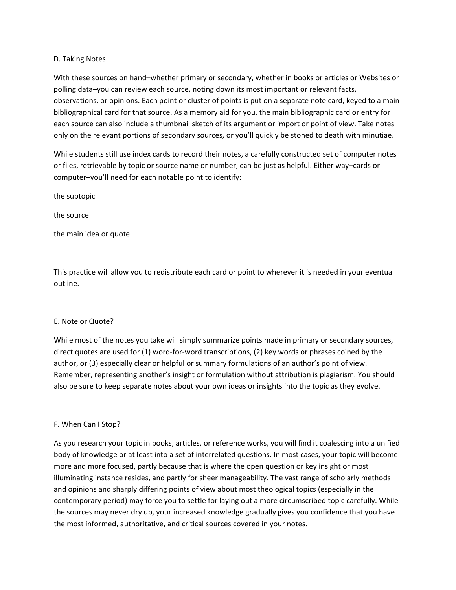### D. Taking Notes

With these sources on hand–whether primary or secondary, whether in books or articles or Websites or polling data–you can review each source, noting down its most important or relevant facts, observations, or opinions. Each point or cluster of points is put on a separate note card, keyed to a main bibliographical card for that source. As a memory aid for you, the main bibliographic card or entry for each source can also include a thumbnail sketch of its argument or import or point of view. Take notes only on the relevant portions of secondary sources, or you'll quickly be stoned to death with minutiae.

While students still use index cards to record their notes, a carefully constructed set of computer notes or files, retrievable by topic or source name or number, can be just as helpful. Either way–cards or computer–you'll need for each notable point to identify:

the subtopic

the source

the main idea or quote

This practice will allow you to redistribute each card or point to wherever it is needed in your eventual outline.

#### E. Note or Quote?

While most of the notes you take will simply summarize points made in primary or secondary sources, direct quotes are used for (1) word-for-word transcriptions, (2) key words or phrases coined by the author, or (3) especially clear or helpful or summary formulations of an author's point of view. Remember, representing another's insight or formulation without attribution is plagiarism. You should also be sure to keep separate notes about your own ideas or insights into the topic as they evolve.

# F. When Can I Stop?

As you research your topic in books, articles, or reference works, you will find it coalescing into a unified body of knowledge or at least into a set of interrelated questions. In most cases, your topic will become more and more focused, partly because that is where the open question or key insight or most illuminating instance resides, and partly for sheer manageability. The vast range of scholarly methods and opinions and sharply differing points of view about most theological topics (especially in the contemporary period) may force you to settle for laying out a more circumscribed topic carefully. While the sources may never dry up, your increased knowledge gradually gives you confidence that you have the most informed, authoritative, and critical sources covered in your notes.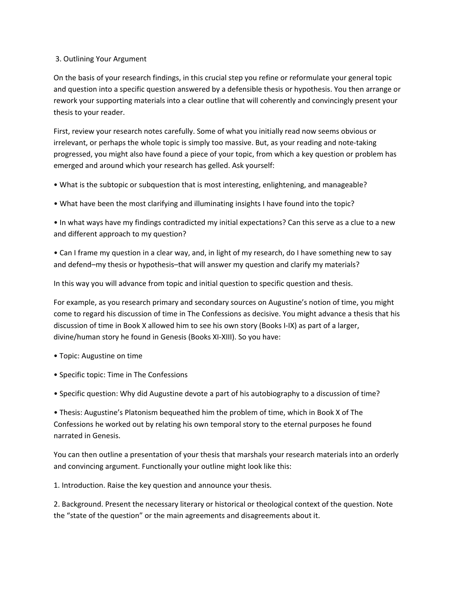# 3. Outlining Your Argument

On the basis of your research findings, in this crucial step you refine or reformulate your general topic and question into a specific question answered by a defensible thesis or hypothesis. You then arrange or rework your supporting materials into a clear outline that will coherently and convincingly present your thesis to your reader.

First, review your research notes carefully. Some of what you initially read now seems obvious or irrelevant, or perhaps the whole topic is simply too massive. But, as your reading and note‐taking progressed, you might also have found a piece of your topic, from which a key question or problem has emerged and around which your research has gelled. Ask yourself:

• What is the subtopic or subquestion that is most interesting, enlightening, and manageable?

• What have been the most clarifying and illuminating insights I have found into the topic?

• In what ways have my findings contradicted my initial expectations? Can this serve as a clue to a new and different approach to my question?

• Can I frame my question in a clear way, and, in light of my research, do I have something new to say and defend–my thesis or hypothesis–that will answer my question and clarify my materials?

In this way you will advance from topic and initial question to specific question and thesis.

For example, as you research primary and secondary sources on Augustine's notion of time, you might come to regard his discussion of time in The Confessions as decisive. You might advance a thesis that his discussion of time in Book X allowed him to see his own story (Books I‐IX) as part of a larger, divine/human story he found in Genesis (Books XI‐XIII). So you have:

- Topic: Augustine on time
- Specific topic: Time in The Confessions

• Specific question: Why did Augustine devote a part of his autobiography to a discussion of time?

• Thesis: Augustine's Platonism bequeathed him the problem of time, which in Book X of The Confessions he worked out by relating his own temporal story to the eternal purposes he found narrated in Genesis.

You can then outline a presentation of your thesis that marshals your research materials into an orderly and convincing argument. Functionally your outline might look like this:

1. Introduction. Raise the key question and announce your thesis.

2. Background. Present the necessary literary or historical or theological context of the question. Note the "state of the question" or the main agreements and disagreements about it.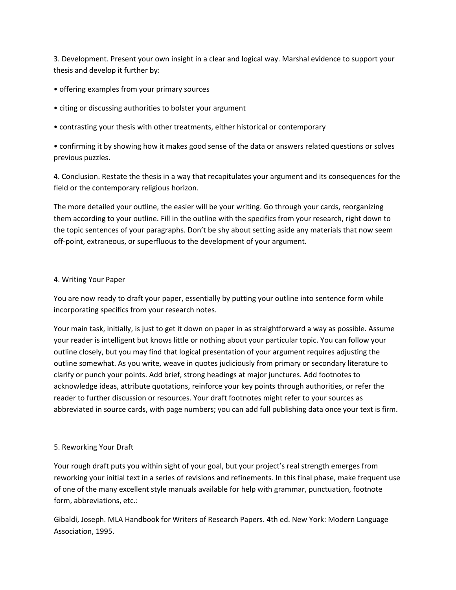3. Development. Present your own insight in a clear and logical way. Marshal evidence to support your thesis and develop it further by:

- offering examples from your primary sources
- citing or discussing authorities to bolster your argument
- contrasting your thesis with other treatments, either historical or contemporary

• confirming it by showing how it makes good sense of the data or answers related questions or solves previous puzzles.

4. Conclusion. Restate the thesis in a way that recapitulates your argument and its consequences for the field or the contemporary religious horizon.

The more detailed your outline, the easier will be your writing. Go through your cards, reorganizing them according to your outline. Fill in the outline with the specifics from your research, right down to the topic sentences of your paragraphs. Don't be shy about setting aside any materials that now seem off‐point, extraneous, or superfluous to the development of your argument.

# 4. Writing Your Paper

You are now ready to draft your paper, essentially by putting your outline into sentence form while incorporating specifics from your research notes.

Your main task, initially, is just to get it down on paper in as straightforward a way as possible. Assume your reader is intelligent but knows little or nothing about your particular topic. You can follow your outline closely, but you may find that logical presentation of your argument requires adjusting the outline somewhat. As you write, weave in quotes judiciously from primary or secondary literature to clarify or punch your points. Add brief, strong headings at major junctures. Add footnotes to acknowledge ideas, attribute quotations, reinforce your key points through authorities, or refer the reader to further discussion or resources. Your draft footnotes might refer to your sources as abbreviated in source cards, with page numbers; you can add full publishing data once your text is firm.

# 5. Reworking Your Draft

Your rough draft puts you within sight of your goal, but your project's real strength emerges from reworking your initial text in a series of revisions and refinements. In this final phase, make frequent use of one of the many excellent style manuals available for help with grammar, punctuation, footnote form, abbreviations, etc.:

Gibaldi, Joseph. MLA Handbook for Writers of Research Papers. 4th ed. New York: Modern Language Association, 1995.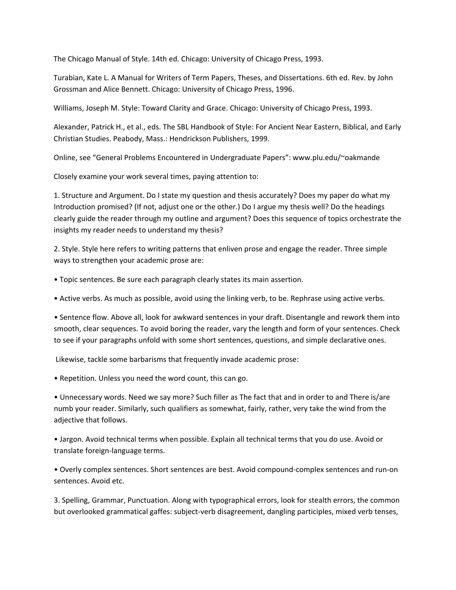The Chicago Manual of Style. 14th ed. Chicago: University of Chicago Press, 1993.

Turabian, Kate L. A Manual for Writers of Term Papers, Theses, and Dissertations. 6th ed. Rev. by John Grossman and Alice Bennett. Chicago: University of Chicago Press, 1996.

Williams, Joseph M. Style: Toward Clarity and Grace. Chicago: University of Chicago Press, 1993.

Alexander, Patrick H., et al., eds. The SBL Handbook of Style: For Ancient Near Eastern, Biblical, and Early Christian Studies. Peabody, Mass.: Hendrickson Publishers, 1999.

Online, see "General Problems Encountered in Undergraduate Papers": www.plu.edu/~oakmande

Closely examine your work several times, paying attention to:

1. Structure and Argument. Do I state my question and thesis accurately? Does my paper do what my Introduction promised? (If not, adjust one or the other.) Do I argue my thesis well? Do the headings clearly guide the reader through my outline and argument? Does this sequence of topics orchestrate the insights my reader needs to understand my thesis?

2. Style. Style here refers to writing patterns that enliven prose and engage the reader. Three simple ways to strengthen your academic prose are:

• Topic sentences. Be sure each paragraph clearly states its main assertion.

• Active verbs. As much as possible, avoid using the linking verb, to be. Rephrase using active verbs.

• Sentence flow. Above all, look for awkward sentences in your draft. Disentangle and rework them into smooth, clear sequences. To avoid boring the reader, vary the length and form of your sentences. Check to see if your paragraphs unfold with some short sentences, questions, and simple declarative ones.

Likewise, tackle some barbarisms that frequently invade academic prose:

• Repetition. Unless you need the word count, this can go.

• Unnecessary words. Need we say more? Such filler as The fact that and in order to and There is/are numb your reader. Similarly, such qualifiers as somewhat, fairly, rather, very take the wind from the adjective that follows.

• Jargon. Avoid technical terms when possible. Explain all technical terms that you do use. Avoid or translate foreign‐language terms.

• Overly complex sentences. Short sentences are best. Avoid compound‐complex sentences and run‐on sentences. Avoid etc.

3. Spelling, Grammar, Punctuation. Along with typographical errors, look for stealth errors, the common but overlooked grammatical gaffes: subject‐verb disagreement, dangling participles, mixed verb tenses,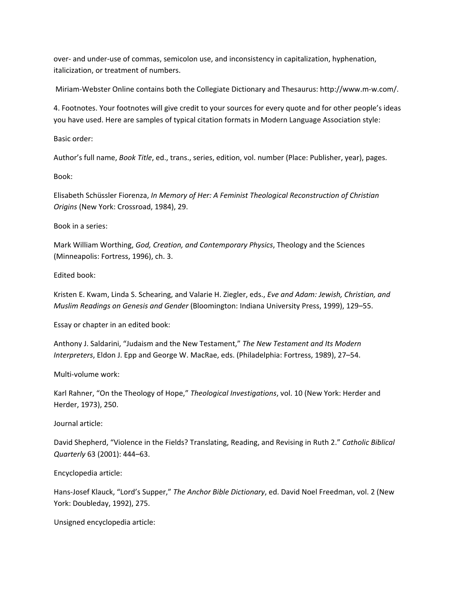over- and under-use of commas, semicolon use, and inconsistency in capitalization, hyphenation, italicization, or treatment of numbers.

Miriam‐Webster Online contains both the Collegiate Dictionary and Thesaurus: http://www.m‐w.com/.

4. Footnotes. Your footnotes will give credit to your sources for every quote and for other people's ideas you have used. Here are samples of typical citation formats in Modern Language Association style:

Basic order:

Author's full name, *Book Title*, ed., trans., series, edition, vol. number (Place: Publisher, year), pages.

Book:

Elisabeth Schüssler Fiorenza, *In Memory of Her: A Feminist Theological Reconstruction of Christian Origins* (New York: Crossroad, 1984), 29.

Book in a series:

Mark William Worthing, *God, Creation, and Contemporary Physics*, Theology and the Sciences (Minneapolis: Fortress, 1996), ch. 3.

Edited book:

Kristen E. Kwam, Linda S. Schearing, and Valarie H. Ziegler, eds., *Eve and Adam: Jewish, Christian, and Muslim Readings on Genesis and Gender* (Bloomington: Indiana University Press, 1999), 129–55.

Essay or chapter in an edited book:

Anthony J. Saldarini, "Judaism and the New Testament," *The New Testament and Its Modern Interpreters*, Eldon J. Epp and George W. MacRae, eds. (Philadelphia: Fortress, 1989), 27–54.

Multi‐volume work:

Karl Rahner, "On the Theology of Hope," *Theological Investigations*, vol. 10 (New York: Herder and Herder, 1973), 250.

Journal article:

David Shepherd, "Violence in the Fields? Translating, Reading, and Revising in Ruth 2." *Catholic Biblical Quarterly* 63 (2001): 444–63.

Encyclopedia article:

Hans‐Josef Klauck, "Lord's Supper," *The Anchor Bible Dictionary*, ed. David Noel Freedman, vol. 2 (New York: Doubleday, 1992), 275.

Unsigned encyclopedia article: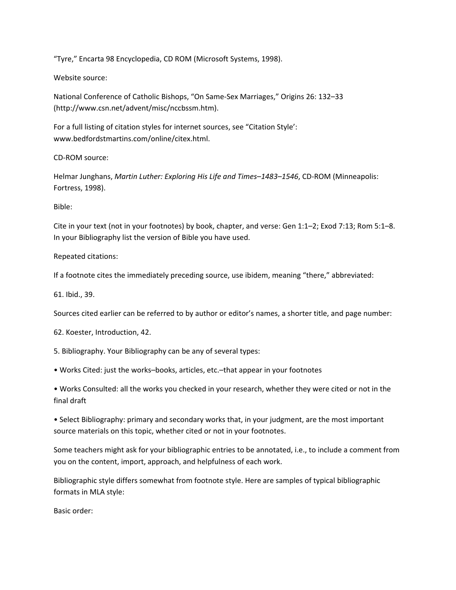"Tyre," Encarta 98 Encyclopedia, CD ROM (Microsoft Systems, 1998).

# Website source:

National Conference of Catholic Bishops, "On Same‐Sex Marriages," Origins 26: 132–33 (http://www.csn.net/advent/misc/nccbssm.htm).

For a full listing of citation styles for internet sources, see "Citation Style': www.bedfordstmartins.com/online/citex.html.

CD‐ROM source:

Helmar Junghans, *Martin Luther: Exploring His Life and Times–1483–1546*, CD‐ROM (Minneapolis: Fortress, 1998).

Bible:

Cite in your text (not in your footnotes) by book, chapter, and verse: Gen 1:1–2; Exod 7:13; Rom 5:1–8. In your Bibliography list the version of Bible you have used.

Repeated citations:

If a footnote cites the immediately preceding source, use ibidem, meaning "there," abbreviated:

61. Ibid., 39.

Sources cited earlier can be referred to by author or editor's names, a shorter title, and page number:

62. Koester, Introduction, 42.

5. Bibliography. Your Bibliography can be any of several types:

• Works Cited: just the works–books, articles, etc.–that appear in your footnotes

• Works Consulted: all the works you checked in your research, whether they were cited or not in the final draft

• Select Bibliography: primary and secondary works that, in your judgment, are the most important source materials on this topic, whether cited or not in your footnotes.

Some teachers might ask for your bibliographic entries to be annotated, i.e., to include a comment from you on the content, import, approach, and helpfulness of each work.

Bibliographic style differs somewhat from footnote style. Here are samples of typical bibliographic formats in MLA style:

Basic order: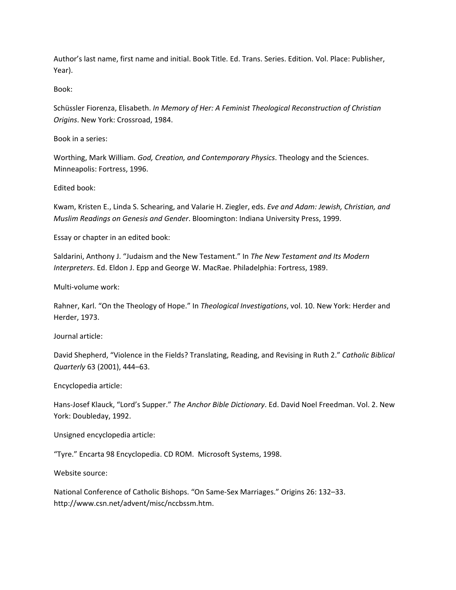Author's last name, first name and initial. Book Title. Ed. Trans. Series. Edition. Vol. Place: Publisher, Year).

Book:

Schüssler Fiorenza, Elisabeth. *In Memory of Her: A Feminist Theological Reconstruction of Christian Origins*. New York: Crossroad, 1984.

Book in a series:

Worthing, Mark William. *God, Creation, and Contemporary Physics*. Theology and the Sciences. Minneapolis: Fortress, 1996.

Edited book:

Kwam, Kristen E., Linda S. Schearing, and Valarie H. Ziegler, eds. *Eve and Adam: Jewish, Christian, and Muslim Readings on Genesis and Gender*. Bloomington: Indiana University Press, 1999.

Essay or chapter in an edited book:

Saldarini, Anthony J. "Judaism and the New Testament." In *The New Testament and Its Modern Interpreters*. Ed. Eldon J. Epp and George W. MacRae. Philadelphia: Fortress, 1989.

Multi‐volume work:

Rahner, Karl. "On the Theology of Hope." In *Theological Investigations*, vol. 10. New York: Herder and Herder, 1973.

Journal article:

David Shepherd, "Violence in the Fields? Translating, Reading, and Revising in Ruth 2." *Catholic Biblical Quarterly* 63 (2001), 444–63.

Encyclopedia article:

Hans‐Josef Klauck, "Lord's Supper." *The Anchor Bible Dictionary*. Ed. David Noel Freedman. Vol. 2. New York: Doubleday, 1992.

Unsigned encyclopedia article:

"Tyre." Encarta 98 Encyclopedia. CD ROM. Microsoft Systems, 1998.

Website source:

National Conference of Catholic Bishops. "On Same‐Sex Marriages." Origins 26: 132–33. http://www.csn.net/advent/misc/nccbssm.htm.